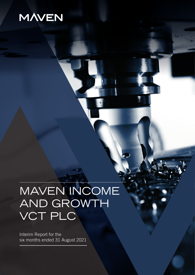## **MAVEN**

# MAVEN INCOME AND GROWTH VCT PLC

Interim Report for the six months ended 31 August 2021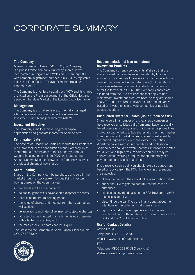### CORPORATE SUMMARY

#### **The Company**

Maven Income and Growth VCT PLC (the Company) is a public limited company limited by shares. It was incorporated in England and Wales on 12 January 2000 with company registration number 3908220. Its registered office is at Fifth Floor, 1-2 Royal Exchange Buildings, London EC3V 3LF.

The Company is a venture capital trust (VCT) and its shares are listed on the Premium segment of the Official List and traded on the Main Market of the London Stock Exchange.

#### **Management**

The Company is a small registered, internally managed alternative investment fund under the Alternative Investment Fund Managers Directive (AIFMD).

#### **Investment Objective**

The Company aims to achieve long-term capital appreciation and generate income for Shareholders.

#### **Continuation Date**

The Articles of Association (Articles) require the Directors to put a proposal for the continuation of the Company, in its then form, to Shareholders at the Company's Annual General Meeting to be held in 2027 or, if later, at the Annual General Meeting following the fifth anniversary of the latest allotment of new shares.

#### **Share Dealing**

Shares in the Company can be purchased and sold in the market through a stockbroker. For qualifying investors buying shares on the open market:

- dividends are free of income tax;
- no capital gains tax is payable on a disposal of shares;
- there is no minimum holding period;
- the value of shares, and income from them, can fall as well as rise.
- tax regulations and rates of tax may be subject to change;
- VCTs tend to be invested in smaller, unlisted companies with a higher risk profile; and
- the market for VCT shares can be illiquid.

The Broker to the Company is Shore Capital Stockbrokers (020 7647 8132).

#### **Recommendation of Non-mainstream Investment Products**

The Company currently conducts its affairs so that the shares issued by it can be recommended by financial advisers to ordinary retail investors in accordance with the rules of the Financial Conduct Authority (FCA) in relation to non-mainstream investment products, and intends to do so for the foreseeable future. The Company's shares are excluded from the FCA's restrictions that apply to nonmainstream investment products because they are shares in a VCT and the returns to investors are predominantly based on investments in private companies or publicly quoted securities.

#### **Unsolicited Offers for Shares (Boiler Room Scams)**

Shareholders in a number of UK registered companies have received unsolicited calls from organisations, usually based overseas or using false UK addresses or phone lines routed abroad, offering to buy shares at prices much higher than their current market values or to sell non-tradeable, overpriced, high-risk or even non-existent securities. Whilst the callers may sound credible and professional, Shareholders should be aware that their intentions are often fraudulent and high pressure sales techniques may be applied, often involving a request for an indemnity or a payment to be provided in advance.

If you receive such a call, you should exercise caution and, based on advice from the FCA, the following precautions are suggested:

- obtain the name of the individual or organisation calling;
- check the FCA register to confirm that the caller is authorised;
- call back using the details on the FCA Register to verify the caller's identity;
- discontinue the call if you are in any doubt about the intentions of the caller, or if calls persist; and
- report any individual or organisation that makes unsolicited calls with an offer to buy or sell shares to the FCA and the City of London Police.

#### **Useful Contact Details:**

Action Fraud Telephone: 0300 123 2040 Website: www.actionfraud.police.uk FCA Telephone: 0800 111 6768 (freephone) Website: www.fca.org.uk/scamsmart

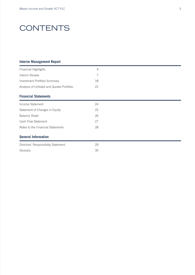### **CONTENTS**

#### **Interim Management Report**

| <b>Financial Highlights</b>               | $\overline{4}$ |  |
|-------------------------------------------|----------------|--|
| Interim Review                            | 7              |  |
| Investment Portfolio Summary              | 18             |  |
| Analysis of Unlisted and Quoted Portfolio | 22             |  |
| <b>Financial Statements</b>               |                |  |
| Income Statement                          | 24             |  |
| Statement of Changes in Equity            | 25             |  |
| <b>Balance Sheet</b>                      | 26             |  |
| Cash Flow Statement                       | 27             |  |
| Notes to the Financial Statements         | 28             |  |
| <b>General Information</b>                |                |  |
| Directors' Responsibility Statement       | 29             |  |
| Glossary                                  | 30             |  |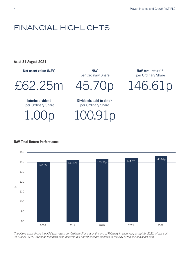### FINANCIAL HIGHLIGHTS

**As at 31 August 2021**

**Net asset value (NAV)**

£62.25m

**Interim dividend** per Ordinary Share

1.00p

**NAV** per Ordinary Share

**Dividends paid to date\*** per Ordinary Share

100.91p

**NAV total return1 \*** per Ordinary Share

45.70p 146.61p



#### *The above chart shows the NAV total return per Ordinary Share as at the end of February in each year, except for 2022, which is at 31 August 2021. Dividends that have been declared but not yet paid are included in the NAV at the balance sheet date.*

#### **NAV Total Return Performance**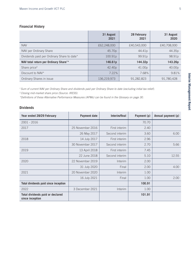#### **Financial History**

|                                                   | 31 August<br>2021 | 28 February<br>2021 | 31 August<br>2020 |
|---------------------------------------------------|-------------------|---------------------|-------------------|
| <b>NAV</b>                                        | £62,248,000       | £40,543,000         | £40,708,000       |
| NAV per Ordinary Share                            | 45.70p            | 44.41p              | 44.35p            |
| Dividends paid per Ordinary Share to date*        | 100.91p           | 99.91p              | 98.91p            |
| NAV total return per Ordinary Share <sup>1*</sup> | 146.61p           | 144.32p             | 143.26p           |
| Share price <sup>3</sup>                          | 42.40p            | 41.00p              | 40.00p            |
| Discount to NAV*                                  | 7.22%             | 7.68%               | 9.81%             |
| Ordinary Shares in issue                          | 136,219,973       | 91,282,823          | 91,780,428        |

*1 Sum of current NAV per Ordinary Share and dividends paid per Ordinary Share to date (excluding initial tax relief).*

*2 Closing mid-market share price (Source: IRESS).*

*\*Definitions of these Alternative Performance Measures (APMs) can be found in the Glossary on page 30.* 

#### **Dividends**

| Year ended 28/29 February                           | <b>Payment date</b> | Interim/final  | Payment (p) | Annual payment (p) |
|-----------------------------------------------------|---------------------|----------------|-------------|--------------------|
| $2001 - 2016$                                       |                     |                | 70.70       |                    |
| 2017                                                | 25 November 2016    | First interim  | 2.40        |                    |
|                                                     | 26 May 2017         | Second interim | 3.60        | 6.00               |
| 2018                                                | 14 July 2017        | First interim  | 2.96        |                    |
|                                                     | 30 November 2017    | Second interim | 2.70        | 5.66               |
| 2019                                                | 13 April 2018       | First interim  | 7.45        |                    |
|                                                     | 22 June 2018        | Second interim | 5.10        | 12.55              |
| 2020                                                | 22 November 2019    | Interim        | 2.00        |                    |
|                                                     | 31 July 2020        | Final          | 2.00        | 4.00               |
| 2021                                                | 20 November 2020    | Interim        | 1.00        |                    |
|                                                     | 16 July 2021        | Final          | 1.00        | 2.00               |
| Total dividends paid since inception                |                     |                | 100.91      |                    |
| 2022                                                | 3 December 2021     | Interim        | 1.00        |                    |
| Total dividends paid or declared<br>since inception |                     |                | 101.91      |                    |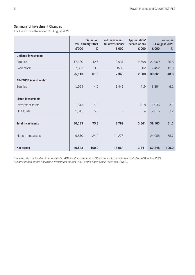#### **Summary of Investment Changes**

For the six months ended 31 August 2021

|                                   | £'000  | <b>Valuation</b><br>28 February 2021<br>$\%$ | Net investment/<br>$(disinvestment)^1$<br>£'000 | Appreciation/<br>(depreciation)<br>£'000 | £'000  | <b>Valuation</b><br>31 August 2021<br>% |
|-----------------------------------|--------|----------------------------------------------|-------------------------------------------------|------------------------------------------|--------|-----------------------------------------|
| <b>Unlisted investments</b>       |        |                                              |                                                 |                                          |        |                                         |
| Equities                          | 17,280 | 42.6                                         | 2,931                                           | 2,698                                    | 22,909 | 36.8                                    |
| Loan stock                        | 7,833  | 19.3                                         | (583)                                           | 202                                      | 7,452  | 12.0                                    |
|                                   | 25,113 | 61.9                                         | 2,348                                           | 2,900                                    | 30,361 | 48.8                                    |
| AIM/AQSE investments <sup>2</sup> |        |                                              |                                                 |                                          |        |                                         |
| Equities                          | 1,994  | 4.9                                          | 1,441                                           | 419                                      | 3,854  | 6.2                                     |
|                                   |        |                                              |                                                 |                                          |        |                                         |
| <b>Listed investments</b>         |        |                                              |                                                 |                                          |        |                                         |
| Investment trusts                 | 1,615  | 4.0                                          | $\overline{\phantom{a}}$                        | 318                                      | 1,933  | 3.1                                     |
| Unit trusts                       | 2,011  | 5.0                                          | $\overline{\phantom{a}}$                        | $\overline{4}$                           | 2,015  | 3.2                                     |
|                                   |        |                                              |                                                 |                                          |        |                                         |
| <b>Total investments</b>          | 30,733 | 75.8                                         | 3,789                                           | 3,641                                    | 38,163 | 61.3                                    |
|                                   |        |                                              |                                                 |                                          |        |                                         |
| Net current assets                | 9,810  | 24.2                                         | 14,275                                          | $\overline{\phantom{a}}$                 | 24,085 | 38.7                                    |
|                                   |        |                                              |                                                 |                                          |        |                                         |
| <b>Net assets</b>                 | 40,543 | 100.0                                        | 18,064                                          | 3,641                                    | 62,248 | 100.0                                   |

*1 Includes the reallocation from unlisted to AIM/AQSE investments of GENinCode PLC, which was floated on AIM in July 2021.*

*2 Shares traded on the Alternative Investment Market (AIM) or the Aquis Stock Exchange (AQSE).*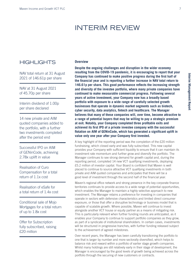### INTERIM REVIEW

#### **HIGHLIGHTS**

NAV total return at 31 August 2021 of 146.61p per share

NAV at 31 August 2021 of 45.70p per share

Interim dividend of 1.00p per share declared

14 new private and AIM quoted companies added to the portfolio, with a further two investments completed after the period end

Successful IPO on AIM of GENinCode, achieving 2.78x uplift in value

Realisation of Curo Compensation for a total return of 1.1x cost

Realisation of eSafe for a total return of 1.4x cost

Conditional sale of Mojo Mortgages for a total return of up to 1.8x cost

Offer for Subscription fully subscribed, raising £20 million

#### **Overview**

**Despite the ongoing challenges and disruption in the wider economy resulting from the COVID-19 pandemic, it is encouraging to report that your Company has continued to make positive progress during the first half of the financial year and is reporting a further increase in NAV total return to 146.61p per share. This good performance reflects the increasing strength and diversity of the investee portfolio, where many private companies have continued to make measurable commercial progress. Following several years of active investment, your Company now has a broadly based portfolio with exposure to a wide range of carefully selected growth businesses that operate in dynamic market segments such as biotech, cyber security, data analytics, fintech and healthcare. The Manager believes that many of these companies will, over time, become attractive to a range of potential buyers that may be willing to pay a strategic premium at exit. Notably, your Company completed three profitable exits and achieved its first IPO of a private investee company with the successful flotation on AIM of GENinCode, which has generated a significant uplift in value only one year after your Company first invested.**

A key highlight of the reporting period was the completion of the £20 million fundraising, which closed early and was fully subscribed. This new capital provides your Company with sufficient liquidity to ensure that it can maintain its investment rate momentum and further grow and diversify the portfolio. The Manager continues to see strong demand for growth capital and, during the reporting period, completed 14 new VCT qualifying investments, deploying £5.2 million of investor capital. Your Board is confident that Maven is well placed to continue to source attractive VCT qualifying investments in both private and AIM quoted companies and anticipates that there will be a good level of investment through the second half of the financial year.

Maven's regional office network and strong presence in the key corporate finance territories continues to provide access to a wide range of potential opportunities, which enables the Manager to maintain a highly selective approach to new investment. The Manager retains a preference for investing in companies that operate in sectors with defensive characteristics and limited direct consumer exposure, or those that offer a disruptive technology or business model that is capable of scalable growth. Where possible, Maven will continue to invest alongside another VCT house or equity partner as a means of mitigating risk. This is particularly relevant when further funding rounds are anticipated, as it enables your Company to continue to support portfolio companies as they grow, as part of a syndicate of institutional shareholders. In certain cases, investments will be structured in progressive tranches, with further funding released subject to the achievement of agreed milestones.

Over recent years, the Manager has been carefully transitioning the portfolio to one that is larger by number and more sectorally diversified, which helps to balance risk and reward within a portfolio of earlier stage growth companies. Whilst many holdings are still relatively early in their stage of development, the Manager is encouraged by the good levels of growth being achieved across the portfolio through the securing of new customers or contracts.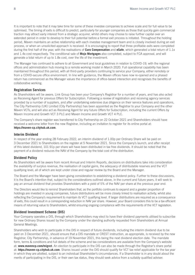It is important to note that it may take time for some of these investee companies to achieve scale and for full value to be optimised. The timing of exits is difficult to predict, particularly for younger companies as those that quickly gain commercial traction may attract early interest from a strategic acquirer, whilst others may choose to raise further capital over an extended period in order to develop to their full potential before a formal exit process is initiated. Throughout the holding period, Maven maintains an active relationship with each investee management team and is closely involved during an exit process, or when an unsolicited approach is received. It is encouraging to report that three profitable exits were completed during the first half of the year, with the realisations of **Curo Compensation** and **eSafe**, which generated a total return of 1.1x and 1.4x cost respectively. The conditional sale of **Mojo Mortgages** also completed, subject to FCA approval, and will generate a total return of up to 1.8x cost, over the life of the investment.

The Manager has continued to adhere to all Government and local guidelines in relation to COVID-19, with the regional offices and administration hub moving to a remote working model in March 2020. Full operational capability has been maintained throughout this period, with all third-party providers continuing to service your Company, either remotely or from a COVID-secure office environment. In line with guidance, the Maven offices have now re-opened and a phased return has commenced as the Manager values the importance of office-based interaction and recognises the benefits of collaborative working.

#### **Registration Services**

As Shareholders will be aware, Link Group has been your Company's Registrar for a number of years, and has also acted as Receiving Agent for previous Offers for Subscription. Following a review of registration and receiving agency services provided by a number of suppliers, and after undertaking extensive due diligence on their service features and operations, The City Partnership (UK) Limited (City Partnership) has been appointed as the Registrar to your Company and the other Maven VCTs, and will also act as Receiving Agent for any future Offers for Subscription, including the current Offers by Maven Income and Growth VCT 3 PLC and Maven Income and Growth VCT 4 PLC.

The Company's share register was transferred to City Partnership on 22 October 2021 and Shareholders should have received a welcome letter from the new Registrar, including an invitation to register for its online portal at: **https://maven-cp.cityhub.uk.com**.

#### **Interim Dividend**

In respect of the year ending 28 February 2022, an interim dividend of 1.00p per Ordinary Share will be paid on 3 December 2021 to Shareholders on the register at 5 November 2021. Since the Company's launch, and after receipt of this latest dividend, 101.91p per share will have been distributed in tax free dividends. It should be noted that the payment of a dividend reduces the NAV of the Company by the total cost of the distribution.

#### **Dividend Policy**

As Shareholders will be aware from recent Annual and Interim Reports, decisions on distributions take into consideration the availability of surplus revenue, the realisation of capital gains, the adequacy of distributable reserves and the VCT qualifying level, all of which are kept under close and regular review by the Board and the Manager.

The Board and the Manager have been giving consideration to establishing a dividend policy. Further to these discussions, it is the Board's intention that, subject to the considerations outlined above, in the current and future years, it will seek to pay an annual dividend that provides Shareholders with a yield of 5% of the NAV per share at the previous year end.

The Directors would like to remind Shareholders that, as the portfolio continues to expand and a greater proportion of holdings are invested in young companies, future distributions will be more closely linked to realisation activity, whilst also reflecting the Company's requirement to maintain its VCT qualifying level. If larger distributions are required as a consequence of exits, this could result in a corresponding reduction in NAV per share. However, your Board considers this to be a tax efficient means of returning value to Shareholders, whilst ensuring ongoing compliance with the requirements of the VCT legislation.

#### **Dividend Investment Scheme (DIS)**

Your Company operates a DIS, through which Shareholders may elect to have their dividend payments utilised to subscribe for new Ordinary Shares issued by the Company under the standing authority requested from Shareholders at Annual General Meetings.

Shareholders who wish to participate in the DIS in respect of future dividends, including the interim dividend due to be paid on 3 December 2021, should ensure that a DIS mandate or CREST instruction, as appropriate, is received by the new Registrar, City Partnership, in advance of 19 November 2021, this being the next dividend election date. The mandate form, terms & conditions and full details of the scheme and tax considerations are available from the Company's website at: **www.mavencp.com/migvct**. An election to participate in the DIS can also be made through the Registrar's share portal at: **https://maven-cp.cityhub.uk.com**. Shares issued under the DIS should qualify for VCT tax relief applicable for the tax year in which they are allotted, subject to an individual Shareholder's circumstances. If a Shareholder is in any doubt about the merits of participating in the DIS, or their own tax status, they should seek advice from a suitably qualified adviser.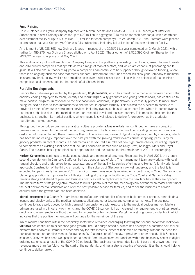#### **Fund Raising**

On 23 October 2020, your Company together with Maven Income and Growth VCT 5 PLC, launched joint Offers for Subscription in new Ordinary Shares for up to £20 million in aggregate (£10 million for each company), with a combined over-allotment facility of up to £20 million (£10 million for each company). On 24 March 2021, the Directors were pleased to announce that your Company's Offer was fully subscribed, including full utilisation of the over-allotment facility.

An allotment of 28,533,898 new Ordinary Shares in respect of the 2020/21 tax year completed on 2 March 2021, with a further 14,485,275 new Ordinary Shares allotted on 1 April 2021. The allotment of 2,026,395 Ordinary Shares for the 2021/22 tax year took place on 4 May 2021.

This additional liquidity will enable your Company to expand the portfolio by investing in ambitious, growth focused private and AIM quoted companies that operate across a range of market sectors, and which are capable of generating capital gains. It will also ensure that existing portfolio companies can continue to be supported through follow-on funding, where there is an ongoing business case that merits support. Furthermore, the funds raised will allow your Company to maintain its share buy-back policy, whilst also spreading costs over a wider asset base in line with the objective of maintaining a competitive total expense ratio for the benefit of all Shareholders.

#### **Portfolio Developments**

Despite the challenges presented by the pandemic, **Bright Network**, which has developed a media technology platform that enables leading employers to reach, identify and recruit high quality graduates and young professionals, has continued to make positive progress. In response to the first nationwide lockdown, Bright Network successfully pivoted its model from being focused on face-to-face interactions to one that could operate virtually. This allowed the business to continue to provide its range of graduate recruitment services, including events such as virtual careers fairs, where in-person events had been prohibited due to the restrictions on non-essential travel and mass gatherings. This transition has enabled the business to strengthen its market position, which means it is well placed to deliver future growth as the graduate recruitment market recovers.

Throughout the period, e-commerce analytical software provider **e.fundamentals** has continued to make encouraging progress and achieved further growth in recurring revenues. The business is focused on providing consumer brands with customer information to help them maximise their online listings and range of digital touchpoints used by shoppers, which has become increasingly important over the past year with the growing trend towards online shopping, particularly for grocery products. In recent months, e.fundamentals has secured a number of new high profile clients, including PepsiCo, to complement an existing client base that includes household names such as Dairy Crest, Kellogg's, Mars and Royal Canin. The business has a good pipeline of opportunities and the outlook for the remainder of 2021 is encouraging.

**Horizon Ceremonies** continues to make good strategic and operational progress. Since opening in April 2021, the group's second crematorium, in Cannock, Staffordshire has traded ahead of plan. The management team are working with local funeral directors and undertakers to increase awareness of the facility, its service offerings and Horizon's family orientated approach. Construction of the third crematorium, in the suburbs of Glasgow, is now well underway and the facility is expected to open in early December 2021. Planning consent was recently received on a fourth site, in Oxted, Surrey, and a planning application is in process for a fifth site. Trading at the original facility in the Clyde Coast and Garnock Valley remains strong and ahead of plan, and business practices will be replicated across the new facilities as they are opened. The medium-term strategic objective remains to build a portfolio of modern, technologically advanced crematoria that meet the best environmental standards and offer the best possible service for families, and to sell the business to a trade acquirer when the growth plan has been achieved.

**Martel Instruments** is a County Durham based manufacturer and supplier of custom-built compact printers, portable data loggers and display units to the medical, pharmaceutical and other testing and compliance markets. The business continues to trade well, buoyed by high demand from customers with exposure to the medical devices market. Martel's printers are used in clinical environments, and the COVID-19 pandemic has increased the requirement to print test results quickly, and often remotely, without the need for access to bulky hardware. Martel has a strong forward order book, which indicates that the positive momentum will continue for the remainder of the year.

Whilst market conditions within the hospitality sector have remained challenging following the second nationwide lockdown, **QikServe** has continued to experience good growth. The Edinburgh based business has developed a patented self-service platform that enables customers to order and pay for refreshments, either at their table or remotely, without the need for personal contact or handling menus. Following its 2019 acquisition of Preoday, a provider of order ahead, click & collect solutions, QikServe has been well positioned to benefit from the accelerated transition within the hospitality sector to digital ordering systems, as a result of the COVID-19 outbreak. The business has expanded its client base and grown recurring revenues more than fourfold since the start of the pandemic, and has a strong pipeline of opportunities that should help to continue to deliver growth.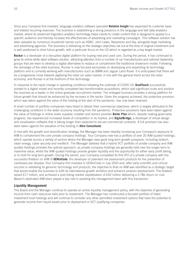Since your Company first invested, language analytics software specialist **Relative Insight** has expanded its customer base and trebled recurring revenues. The business is establishing a strong presence in the language and text data analytics market, where its advanced linguistics analytics technology helps clients to create content that is designed to appeal to a specific audience and thereby increase the effectiveness of advertising and marketing campaigns. This software solution has been adopted by numerous household names such as HSBC, John Lewis, Nespresso and Sky, alongside large marketing and advertising agencies. The business is delivering on the strategic objectives set out at the time of original investment and is well positioned to drive future growth, with a particular focus on the US which is regarded as a key target market.

**Rockar** is a developer of a disruptive digital platform for buying new and used cars. During the period, it has continued to grow its online white label software solution, attracting attention from a number of car manufacturers and national dealership groups that are keen to develop a digital alternative to replace or complement the traditional showroom model. Following the demerger of the retail business, Rockar is now focused exclusively on developing and expanding its technology platform and is currently working with manufacturers such as BMW and Jaguar Land Rover. It is anticipated that there will be a progressive move towards digitising the retail car sales market, in line with the general trend across the retail economy, and Rockar is at the forefront of this technology.

In response to the rapid change in operating conditions following the outbreak of COVID-19, **GradTouch** successfully pivoted to a digital model and recently completed two transformative acquisitions, which add significant scale and position the business as a leader in the online graduate recruitment market. The enlarged business provides a strong platform for future growth that should be enhanced by the recovery in the sector. Given the progress achieved, the protective provision, which was taken against the value of the holding at the start of the pandemic, has now been reversed.

A small number of portfolio companies have failed to deliver their commercial objectives, which is largely attributed to the challenging conditions in the wider economy resulting from the pandemic. Protective provisions have been taken against the value of holdings in online boiler supplier, installer and service provider **Boiler Plan** which, despite making good early progress, has experienced increased levels of competition in its market, and **DigitalBridge,** a developer of virtual design and visualisation software that is taking longer than expected to secure commercial contracts. A full provision has also been taken against the valuation of the holding in **Altra Consultants**.

In line with the growth and diversification strategy, the Manager has been steadily increasing your Company's exposure to AIM to complement the core private company holdings. Your Company now has a portfolio of over 20 AIM quoted holdings, which operate across a variety of sectors where the Manager sees good long term growth prospects, including biotech, clean energy, cyber security and medtech. The Manager believes that a hybrid VCT portfolio of private company and AIM quoted holdings provides the optimal approach, as private company holdings are generally held over the longer term to maximise value, whilst the AIM quoted holdings provide greater liquidity and the opportunity for either early profit taking, or to hold for long term growth. During the period, your Company completed its first IPO of a private company with the successful flotation on AIM of **GENinCode**, the developer of patented risk assessment products for the prevention of cardiovascular disease**.** Your Company first invested in GENinCode in July 2020 and, after early scientific and clinical success in validating its genomic technology and products, the objective to float on AIM was identified as a strategic target that would enable the business to fulfil its international growth ambition and enhance product development. The flotation raised £17 million, and achieved a post listing market capitalisation of £42 million delivering a 2.78x return on cost. Maven's dedicated AIM team played a key role in assisting the management team with this transaction.

#### **Liquidity Management**

The Board and the Manager continue to operate an active liquidity management policy, with the objective of generating income from cash resources held prior to investment. The Manager has constructed a focused portfolio of listed investment trust holdings and will continue to consider any other permitted investment options that have the potential to generate income from liquid assets prior to deployment in VCT qualifying companies.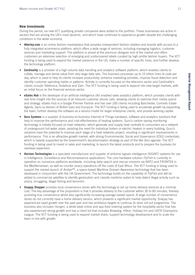#### **New Investments**

During the period, six new VCT qualifying private companies were added to the portfolio. These businesses are active in sectors that are among the UK's most dynamic, and which have continued to experience growth despite the challenging conditions in the wider economy.

- **Atterley.com** is an online fashion marketplace that provides independent fashion retailers and brands with access to a fully integrated ecommerce platform, which offers a wide range of services, including managing logistics, customer services and marketing support. The platform is aimed at the premium designer end of the market and offers customers an extensive selection of emerging and undiscovered labels curated by high profile fashion buyers. The VCT funding is being used to expand the market presence in the US, make a number of specific hires, and further develop the technology platform.
- **Cardinality** is a provider of a high volume data handling and analytics software platform, which enables clients to collate, manage and derive value from very large data sets. The business processes up to 15 billion lines of code per day, which is used to help its clients increase productivity, enhance marketing activities, improve fraud detection and identify customer spending habits or patterns. Activity is currently focused on the telecoms sector and Cardinality's clients include Telefonica, Vodafone and Zain. The VCT funding is being used to expand into new target markets, with an initial focus on the financial services sector.
- **eSales Hub** is the developer of an artificial intelligence (AI) enabled sales analytics platform, which provides clients with real time insight into the sources of all inbound customer phone calls, allowing clients to optimise their media spend and strategy. eSales Hub is a Google Premier Partner and has over 200 clients including Barchester, Connells Estate Agents, Dyno (a division of British Gas) and Europcar. The VCT funding is being used to accelerate growth by expanding the team, further develop the software as a service model for larger enterprise clients, and provide working capital.
- **Guru Systems** is a supplier of business-to-business Internet of Things hardware, software and analytics solutions that help to improve the performance and cost-effectiveness of heating systems. Guru's carbon saving monitoring technology is initially focused on heat networks, which generate and supply heat centrally to consumers via a network of underground hot water pipes, avoiding the need for individual boilers or electric heaters in every building. Guru's solutions have the potential to improve each stage of a heat networks project, resulting in significant improvements in performance. This is an attractive growth market, with strong Environmental, Social and Governance (ESG) credentials, which is heavily supported by the Government's decarbonisation strategy as part of the Net Zero agenda. The VCT funding is being used to invest in sales and marketing, to launch the latest products and to prepare the business for overseas expansion.
- **Horizon Technologies** is a specialist manufacturer and supplier of airborne signals intelligence (SIGINT) systems for use in Intelligence, Surveillance and Reconnaissance applications. The core hardware solution *FlyFish* is currently in operation on numerous platforms worldwide, including daily search and rescue missions via NATO and FRONTEX in the Mediterranean, as well as counter piracy operations off the coast of East Africa. The VCT funding is being used to support the market launch of *Amber*™, a space-based Maritime Domain Awareness technology that has been developed in conjunction with the UK Government. The technology builds on the capability of *FlyFish* and will be added to commercial satellites to identify geolocation and classify maritime radars to help detect illegal activity such as piracy, smuggling, illegal fishing and terrorism.
- **Snappy Shopper** provides local convenience stores with the technology to set up home delivery services at a minimal cost. The key advantage of the proposition is that it provides delivery to the customer within 30 to 60 minutes, thereby providing true convenience whilst also significantly increasing average basket spend. A large number of convenience stores do not currently have a home delivery service, which presents a significant market opportunity. Snappy has experienced rapid growth over the past year and has ambitious targets to continue its store roll-out programme. The business also includes *Hungrrr*, a white-label online and app food ordering system for the hospitality sector that has also experienced strong growth and has a client list that includes Brewdog, Hilton, Holiday Inn and UEFA Champions League. The VCT funding is being used to expand market share, support technology development and to scale the team in line with growth.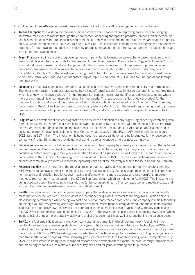In addition, eight new AIM quoted investments have been added to the portfolio during the first half of the year:

- **Arecor Therapeutics** is a global biopharmaceutical company that is focused on improving patient care by bringing innovative medicines to market through the enhancement of existing therapeutic products. Arecor's initial therapeutic focus is on diabetes, with three insulin-based products currently in development. Your Company participated in the IPO on AIM, which completed in June 2021, raising £20 million. The investment is being used to progress the lead diabetes products, further develop the pipeline of speciality products, enhance the team through a number of strategic hires and strengthen the balance sheet.
- **Evgen Pharma** is a clinical stage drug development company that is focused on sulforaphane based medicines, which are a novel class of pharmaceuticals for the treatment of multiple diseases. The core technology is Sulforaedex®, which is a method for synthesising and stabilising the naturally occurring compound sulforaphane and producing novel proprietary analogues based on sulforaphane. Your Company participated in the £11 million fundraising, which completed in March 2021. The investment is being used to fund further preclinical work for metastatic breast cancer, to complete formulation and scale up manufacturing of Evgen's lead product SFX-01 and to fund operations through until mid-2023.
- **Incanthera** is a specialist oncology company that is focused on innovative technologies in oncology and dermatology. The focus is to transform cancer therapeutics by limiting off-target toxicity (healthy tissue damage) in cancer treatment, which is a known and severe problem in the treatment of cancer. Incanthera identifies and develops solutions where there are current clinical, commercially relevant unmet needs. The lead product is Sol, a topical product for the treatment of solar keratosis and the prevention of skin cancers, which has achieved proof of concept. Your Company participated in the £1.1 million fund raising, which completed in March 2021. The investment is being used to progress discussions in respect of a potential commercial deal for Sol, and also provides cash runway until the second half of 2022.
- **LungLife AI** is a developer of clinical diagnostic solutions for the detection of early stage lung cancer by combining data from blood-based biomarkers, that have been shown to be altered by lung cancer, with machine learning to improve biomarker detection. LungLife intends to build a pool of lung cancer-related data for AI-enabled applications and is designed to improve diagnostic solutions. Your Company participated in the IPO on AIM, which completed in July 2021, raising £17 million. The investment is being used to progress validation and utility studies, further develop the company's AI algorithms and to provide general working capital to support the business as it grows.
- **Oncimmune** is a leader in the field of early cancer detection. The company has developed a diagnostic test that is based on the presence of blood autoantibodies that work against specific tumours, such as lung cancer. The test has the potential to detect cancer up to four years earlier than traditional diagnostics such as X-rays or CT scans. Your Company participated in the £9 million fundraising, which completed in March 2021. The investment is being used to grow the pipeline of commercial prospects and increase operating capacity at the discovery research facility in Dortmund, Germany.
- **Polarean Imaging** is an innovator in the medical imaging market, having developed equipment that enables existing MRI systems to achieve superior lung imaging by using hyperpolarised Xenon gas as an imaging agent. This provides a non-invasive and radiation-free functional imaging platform, which is more accurate and less harmful than current methods. Your company participated in the £25 million fundraising, which completed in April 2021. The investment is being used to support the ongoing clinical trial, build the commercial team, finance regulatory and medical costs, and support the continued investment in research and development.
- **Saietta** is an established specialist engineering company that is developing innovative electric propulsion motors for mass market electric vehicles. The core asset is a patent pending axial-flux motor technology (AFT), which delivers class-leading performance whilst being low cost and built for mass market production. The company is initially focusing on the high volume, fast growing Asian light motorbike market, where there is strong demand, and the ultimate objective is to scale the technology towards low cost mass production across multiple vehicle types. Your Company participated in the £37.5 million fundraising, which completed in July 2021. The investment is being used to support growth plans which includes establishing a motor durability facility and a pilot production facility as well as strengthening the balance sheet.
- **SulNOx** is a fuel emulsification technology company operating primarily in diesel fuel and heavy fuel oil, with the resultant fuel emulsions remaining stable for many years. The patent-pending emulsification technology *SulNOxEcoTM* works to reduce hydrocarbon emissions, improve longevity of engines and has a demonstrated ability to reduce annual fuel costs by 8-10%. SulNOx has strong green credentials and is targeting global industries including power generation, road transportation and shipping. Your Company participated in the £2.6 million fundraising, which completed in July 2021. The investment is being used to support research and development to expand the product range, support sales and marketing capabilities, to make a number of key hires and for general working capital purposes.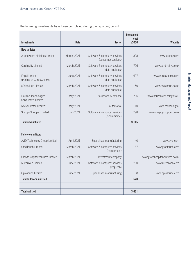The following investments have been completed during the reporting period:

|                                                    |                  |                                                     | <b>Investment</b><br>cost |                                 |
|----------------------------------------------------|------------------|-----------------------------------------------------|---------------------------|---------------------------------|
| <b>Investments</b>                                 | <b>Date</b>      | <b>Sector</b>                                       | £'000                     | Website                         |
| <b>New unlisted</b>                                |                  |                                                     |                           |                                 |
| Atterley.com Holdings Limited                      | March 2021       | Software & computer services<br>(consumer services) | 398                       | www.atterley.com                |
| Cardinality Limited                                | March 2021       | Software & computer services<br>(data analytics)    | 796                       | www.cardinality.co.uk           |
| Enpal Limited<br>(trading as Guru Systems)         | June 2021        | Software & computer services<br>(data analytics)    | 697                       | www.gurusystems.com             |
| eSales Hub Limited                                 | March 2021       | Software & computer services<br>(data analytics)    | 150                       | www.esaleshub.co.uk             |
| Horizon Technologies<br><b>Consultants Limited</b> | May 2021         | Aerospace & defence                                 | 796                       | www.horizontechnologies.eu      |
| Rockar Retail Limited <sup>1</sup>                 | May 2021         | Automotive                                          | 10                        | www.rockar.digital              |
| Snappy Shopper Limited                             | <b>July 2021</b> | Software & computer services<br>(e-commerce)        | 298                       | www.snappyshopper.co.uk         |
| <b>Total new unlisted</b>                          |                  |                                                     | 3,145                     |                                 |
|                                                    |                  |                                                     |                           |                                 |
| <b>Follow-on unlisted</b>                          |                  |                                                     |                           |                                 |
| AVID Technology Group Limited                      | April 2021       | Specialised manufacturing                           | 40                        | www.avid.com                    |
| <b>GradTouch Limited</b>                           | March 2021       | Software & computer services<br>(recruitment)       | 167                       | www.gradtouch.com               |
| Growth Capital Ventures Limited                    | March 2021       | Investment company                                  | 31                        | www.growthcapitalventures.co.uk |
| MirrorWeb Limited                                  | <b>June 2021</b> | Software & computer services<br>(RegTech)           | 200                       | www.mirrorweb.com               |
| Optoscribe Limited                                 | <b>June 2021</b> | Specialised manufacturing                           | 88                        | www.optoscribe.com              |
| <b>Total follow-on unlisted</b>                    |                  |                                                     | 526                       |                                 |
|                                                    |                  |                                                     |                           |                                 |
| <b>Total unlisted</b>                              |                  |                                                     | 3,671                     |                                 |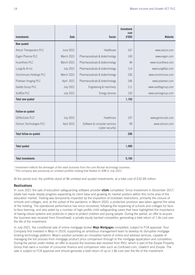|                               |                  |                                                  | <b>Investment</b><br>cost |                      |
|-------------------------------|------------------|--------------------------------------------------|---------------------------|----------------------|
| <b>Investments</b>            | <b>Date</b>      | <b>Sector</b>                                    | £'000                     | Website              |
| New quoted                    |                  |                                                  |                           |                      |
| Arecor Therapeutics PLC       | June 2021        | Healthcare                                       | 167                       | www.arecor.com       |
| Evgen Pharma PLC              | March 2021       | Pharmaceuticals & biotechnology                  | 140                       | www.evgen.com        |
| Incanthera PLC                | March 2021       | Pharmaceuticals & biotechnology                  | 49                        | www.incanthera.com   |
| LungLife AI Inc               | <b>July 2021</b> | Pharmaceuticals & biotechnology                  | 114                       | www.lunglifeai.com   |
| Oncimmune Holdings PLC        | March 2021       | Pharmaceuticals & biotechnology                  | 236                       | www.oncimmune.com    |
| Polarean Imaging PLC          | April 2021       | Pharmaceuticals & biotechnology                  | 246                       | www.polarean.com     |
| Saietta Group PLC             | <b>July 2021</b> | Engineering & machinery                          | 111                       | www.saiettagroup.com |
| SulNO <sub>x</sub> PLC        | <b>July 2021</b> | Energy services                                  | 130                       | www.sulnoxgroup.com  |
| <b>Total new quoted</b>       |                  |                                                  | 1,193                     |                      |
|                               |                  |                                                  |                           |                      |
| Follow-on quoted              |                  |                                                  |                           |                      |
| GENinCode PLC <sup>2</sup>    | <b>July 2021</b> | Healthcare                                       | 197                       | www.genincode.com    |
| Osirium Technologies PLC      | April 2021       | Software & computer services<br>(cyber security) | 99                        | www.osirium.com      |
| <b>Total follow-on quoted</b> |                  |                                                  | 296                       |                      |
|                               |                  |                                                  |                           |                      |
| <b>Total quoted</b>           |                  |                                                  | 1,489                     |                      |
|                               |                  |                                                  |                           |                      |
| <b>Total investments</b>      |                  |                                                  | 5,160                     |                      |

*1 Investment reflects the demerger of the retail business from the core Rockar technology business.*

*2 This company was previously an unlisted portfolio holding that floated on AIM in July 2021.*

At the period end, the portfolio stood at 96 unlisted and quoted investments, at a total cost of £32.69 million.

#### **Realisations**

In June 2021 the sale of education safeguarding software provider **eSafe** completed. Since investment in December 2017, eSafe had made steady progress expanding its client base and growing its market position within this niche area of the education market. Trading was temporarily impacted by the imposition of lockdown restrictions, primarily the closure of schools and colleges, and, at the outset of the pandemic in March 2020, a protective provision was taken against the value of the holding. The operational performance has since recovered, following the reopening of schools and colleges for faceto-face learning, and also aided by a number of high-profile child safeguarding cases that have highlighted the importance of having robust systems and protocols in place to protect children and young people. During the period, an offer to acquire the business was received from Smoothwall, a private equity backed competitor, generating a total return of 1.4x cost over the life of the investment.

In July 2021, the conditional sale of online mortgage broker **Mojo Mortgages** completed, subject to FCA approval. Your Company first invested in Mojo in 2019, supporting an ambitious management team to develop its disruptive mortgage broking technology platform. Mojo's solution provides an innovative hybrid of online and advised services, capable of managing the full process from mortgage product price comparison through to the mortgage application and completion. During the period under review, an offer to acquire the business was received from RVU, which is part of the Zoopla Property Group that owns a number of consumer finance and comparison sites such as Confused.com, Uswitch and Zoopla. The sale is subject to FCA approval and should generate a total return of up to 1.8x cost over the life of the investment.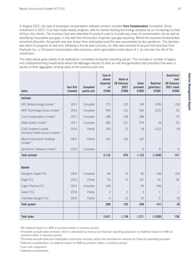In August 2021, the sale of employee compensation software solution provider **Curo Compensation** completed. Since investment in 2017, Curo had made steady progress, with its market leading technology adopted by an increasing number of blue chip clients. The business had also extended its product suite to include key areas of compensation risk as well as identifying inequitable pay gaps, in line with the introduction of gender pay gap reporting. Whilst the business fundamentals remained attractive, the growth rate was slower than anticipated and this was exacerbated by the pandemic. The decision was taken to progress an exit and, following a formal sales process, an offer was received to acquire the business from PayScale Inc, a US based compensation data business, which generated a total return of 1.1x cost over the life of the investment.

The table below gives details of all realisations completed during the reporting period. This includes a number of legacy and underperforming investments where the Manager elected to seek an exit and generated total proceeds that were in excess of their aggregate carrying value at the previous year end.

| <b>Sales</b>                                                                   | Year first<br>invested | Complete/<br>partial exit | Cost of<br>shares<br>disposed<br>of<br>£'000 | Value at<br>28 February<br>2021<br>£'000 | <b>Sales</b><br>proceeds<br>£'000 | <b>Realised</b><br>gain/(loss)<br>£'000 | Gain/(loss)<br>over<br><b>28 February</b><br>2021 value<br>£'000 |
|--------------------------------------------------------------------------------|------------------------|---------------------------|----------------------------------------------|------------------------------------------|-----------------------------------|-----------------------------------------|------------------------------------------------------------------|
| <b>Unlisted</b>                                                                |                        |                           |                                              |                                          |                                   |                                         |                                                                  |
| ADC Biotechnology Limited <sup>1</sup>                                         | 2017                   | Complete                  | 775                                          | 232                                      | 199                               | (576)                                   | (33)                                                             |
| AVID Technology Group Limited <sup>2</sup>                                     | 2019                   | Complete                  | 404                                          | 131                                      | 183                               | (221)                                   | 52                                                               |
| Curo Compensation Limited <sup>3</sup>                                         | 2017                   | Complete                  | 298                                          | 228                                      | 298                               |                                         | 70                                                               |
| eSafe Global Limited <sup>3</sup>                                              | 2017                   | Complete                  | 283                                          | 221                                      | 274                               | (9)                                     | 53                                                               |
| <b>FLXG Scotland Limited</b><br>(formerly Flexlife Group Limited) <sup>4</sup> | 2010                   | Partial                   | 230                                          | 22                                       | 18                                | (212)                                   | (4)                                                              |
| Martel Instruments Holdings<br>Limited <sup>5</sup>                            | 2007                   | Partial                   | 142                                          | 142                                      | 142                               |                                         |                                                                  |
| Symphonic Software Limited <sup>6</sup>                                        | 2019                   | Complete                  |                                              |                                          | 9                                 | 9                                       | $\mathcal{G}$                                                    |
| <b>Total unlisted</b>                                                          |                        |                           | 2,132                                        | 976                                      | 1,123                             | (1,009)                                 | 147                                                              |
|                                                                                |                        |                           |                                              |                                          |                                   |                                         |                                                                  |
| Quoted                                                                         |                        |                           |                                              |                                          |                                   |                                         |                                                                  |
| Abingdon Health PLC                                                            | 2020                   | Complete                  | 84                                           | 75                                       | 40                                | (44)                                    | (35)                                                             |
| Angle PLC                                                                      | 2015                   | Partial                   | 59                                           | 73                                       | 101                               | 42                                      | 28                                                               |
| Evgen Pharma PLC                                                               | 2021                   | Complete                  | 140                                          |                                          | 94                                | (46)                                    |                                                                  |
| Seeen PLC                                                                      | 2019                   | Partial                   | $\overline{2}$                               | $\overline{2}$                           | 3                                 | 1                                       | $\mathbf{1}$                                                     |
| Trackwise Designs PLC                                                          | 2020                   | Partial                   | 4                                            | 13                                       | 10                                | 6                                       | (3)                                                              |
| <b>Total quoted</b>                                                            |                        |                           | 289                                          | 163                                      | 248                               | (41)                                    | (9)                                                              |
|                                                                                |                        |                           |                                              |                                          |                                   |                                         |                                                                  |
| <b>Total sales</b>                                                             |                        |                           | 2,421                                        | 1,139                                    | 1,371                             | (1,050)                                 | 138                                                              |

*<sup>1</sup> No material impact on NAV as provision taken in previous period.*

*<sup>2</sup> Proceeds exclude yield received, which is disclosed as revenue for financial reporting purposes; no material impact on NAV as provision taken in previous period.*

*<sup>3</sup> Proceeds exclude yield and redemption premiums received, which are disclosed as revenue for financial reporting purposes.*

*<sup>4</sup> Deferred consideration; no material impact on NAV as provision taken in previous period.*

*<sup>5</sup> Loan note repayment.*

*<sup>6</sup> Deferred consideration.*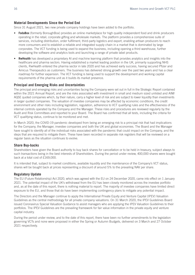#### **Material Developments Since the Period End**

Since 31 August 2021, two new private company holdings have been added to the portfolio.

- **FodaBox** (formerly BoroughBox) provides an online marketplace for high quality independent food and drink producers operating in the retail, corporate gifting and wholesale markets. The platform provides a comprehensive suite of services, including distribution, order fulfilment, third-party logistics and export, enabling artisan producers to reach more consumers and to establish a reliable and integrated supply chain in a market that is dominated by large corporates. The VCT funding is being used to expand the business, including opening a third warehouse, further developing the software and analytics tools and launching a range of private label products.
- **• RwHealth** has developed a proprietary AI and machine learning platform that provides analytics and insights into the healthcare and pharma sectors. Having established a market leading position in the UK, primarily supporting NHS clients, RwHealth entered the pharma sector in late 2020 and has achieved early success, having secured Pfizer and Amicus Therapeutics as customers. The business has delivered strong growth over the past two years and has a clear roadmap for further expansion. The VCT funding is being used to support the development and working capital requirements of the pharma unit as it builds its market presence.

#### **Principal and Emerging Risks and Uncertainties**

The principal and emerging risks and uncertainties facing the Company were set out in full in the Strategic Report contained within the 2021 Annual Report, and are the risks associated with investment in small and medium sized unlisted and AIM/ AQSE quoted companies which, by their nature, carry a higher level of risk and are subject to lower liquidity than investments in larger quoted companies. The valuation of investee companies may be affected by economic conditions, the credit environment and other risks including legislation, regulation, adherence to VCT qualifying rules and the effectiveness of the internal controls operated by the Company and the Manager. These risks and procedures are reviewed regularly by the Audit and Risk Committees and reported to your Board. The Board has confirmed that all tests, including the criteria for VCT qualifying status, continue to be monitored and met.

In March 2020, the COVID-19 pandemic developed from being an emerging risk to a principal risk that had implications for the Company, the Manager, investee companies and both the UK and global economies. The Board and the Manager have sought to identify all of the individual risks associated with the pandemic that could impact on the Company, and the steps that are required to mitigate them. These have been recorded in separate risk registers that will be reviewed on a regular basis as the situation continues to evolve.

#### **Share Buy-backs**

Shareholders have given the Board authority to buy back shares for cancellation or to be held in treasury, subject always to such transactions being in the best interests of Shareholders. During the period under review, 400,000 shares were bought back at a total cost of £169,000.

It is intended that, subject to market conditions, available liquidity and the maintenance of the Company's VCT status, shares will be bought back at prices representing a discount of around 5% to the prevailing NAV per share.

#### **Regulatory Update**

The EU (Future Relationship) Act 2020, which was agreed with the EU on 24 December 2020, came into effect on 1 January 2021. The potential impact of the UK's withdrawal from the EU has been closely monitored across the investee portfolio and, as at the date of this report, there is nothing material to report. The majority of investee companies have limited direct exposure to the EU, and those that do have been implementing contingency plans to mitigate any potential impact.

The Directors and the Manager continue to apply the International Private Equity and Venture Capital (IPEV) Valuation Guidelines as the central methodology for all private company valuations. On 31 March 2020, the IPEV Guidelines Board issued Coronavirus Special Valuation Guidance to assist managers who are applying the IPEV Valuation Guidelines to their portfolios. The IPEV Guidelines are the prevailing framework for fair value information in the private equity and venture capital industry.

During the period under review, and to the date of this report, there have been no further amendments to the legislation governing VCTs and none were proposed in either the Spring or Autumn Budgets, delivered on 3 March and 27 October 2021 respectively.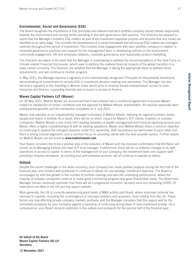#### **Environmental, Social and Governance (ESG)**

The Board recognises the importance of ESG principles and believes that each portfolio company should behave responsibly towards the environment and society, whilst operating in line with governance best practice. The Directors are pleased to report that the Manager considers ESG matters as part of the investment appraisal process and ensures that any issues are identified at an early stage. This includes the development of a robust framework that will ensure ESG matters are managed carefully throughout the period of investment. This involves close engagement with each portfolio company in relation to corporate governance practices and support for the management team in developing policies on the environment, community engagement, HR and employee relations, corporate governance and responsible product marketing.

The Directors are aware of the work that the Manager is undertaking to address the recommendations of the Task Force on Climate-related Financial Disclosures, which seek to address the material financial impacts of the global transition to a lower carbon economy. The Directors are satisfied that the Manager is taking the appropriate steps to address those requirements, and will continue to monitor progress.

In May 2021, the Manager became a signatory to the internationally recognised *Principles for Responsible Investment*, demonstrating its commitment to include ESG in investment decision making and ownership. The Manager has also become a signatory to the *Investing in Women Code*, which aims to improve female entrepreneurs' access to tools, resources and finance, supporting diversity and inclusion in access to finance.

#### **Maven Capital Partners LLP (Maven)**

On 26 May 2021, Mattioli Woods plc announced that it had entered into a conditional agreement to acquire Maven, subject to satisfaction of certain conditions and the approval by Mattioli Woods' shareholders. All required approvals were subsequently granted, and the transaction completed on 1 July 2021.

Maven now operates as an independently managed subsidiary of Mattioli Woods, retaining its regional business model, people and brand in entirety. As a result, there will be no direct impact for Maven's VCT clients, investors or investee companies. Mattioli Woods is one of the UK's leading providers of wealth management and financial planning services and Maven offers a highly complementary fit with its existing operations. Maven and Mattioli Woods share a common objective of continuing to expand the enlarged business under PLC ownership. Both businesses are well known to each other and there is strong cultural alignment, and a common focus on providing clients with the best possible service. Further details on Mattioli Woods can be found at **www.mattioliwoods.com**.

Your Board considers this to be a positive step in the evolution of Maven and has received confirmation that Bill Nixon will remain as its Managing Partner and lead VCT fund manager. Furthermore, there will be no material changes to its staff, operations or access to capital. In terms of the management of your Company, the investment team and support staff providing company secretarial, accounting and administrative services, will all continue to operate as before.

#### **Outlook**

Despite the recent challenges in the wider economy, your Company has made positive progress during the first half of the financial year, and remains well positioned to continue to deliver its core strategic investment objective. The Board is encouraged by both the growth in the number of portfolio holdings and also the underlying performance, where the majority of investee companies continue to make good commercial progress and grow Shareholder value. The Board and Manager remain cautiously optimistic that there will be a progressive economic recovery once any remaining COVID-19 restrictions are lifted in the UK and key export markets.

More generally, the UK is currently experiencing good levels of M&A activity post Brexit, where improved certainty has returned to markets, including the re-emergence of overseas investors and acquirers, most notably from the US. These factors are now affecting private company markets positively, and the Manager considers that this augurs well for the immediate prospects for your Company against a backdrop of continuing strong levels of new investment activity. As a consequence, your Board remains optimistic in the outlook and prospects for the second half of the financial year.

**On behalf of the Board Maven Capital Partners UK LLP Secretary 12 November 2021**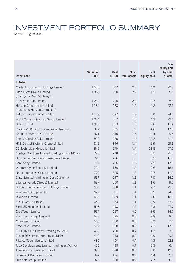### INVESTMENT PORTFOLIO SUMMARY

As at 31 August 2021

| <b>Investment</b>                               | <b>Valuation</b><br>£'000 | <b>Cost</b><br>£'000 | $%$ of<br>total assets | $%$ of<br>equity held | $%$ of<br>equity held<br>by other<br>clients <sup>1</sup> |
|-------------------------------------------------|---------------------------|----------------------|------------------------|-----------------------|-----------------------------------------------------------|
| <b>Unlisted</b>                                 |                           |                      |                        |                       |                                                           |
| Martel Instruments Holdings Limited             | 1,538                     | 807                  | 2.5                    | 14.9                  | 29.3                                                      |
| Life's Great Group Limited                      | 1,380                     | 820                  | 2.2                    | 9.9                   | 35.6                                                      |
| (trading as Mojo Mortgages)                     |                           |                      |                        |                       |                                                           |
| Relative Insight Limited                        | 1,260                     | 700                  | 2.0                    | 3.7                   | 25.6                                                      |
| Horizon Ceremonies Limited                      | 1,184                     | 788                  | 1.9                    | 4.2                   | 48.5                                                      |
| (trading as Horizon Cremation)                  |                           |                      |                        |                       |                                                           |
| CatTech International Limited                   | 1,169                     | 627                  | 1.9                    | 6.0                   | 24.0                                                      |
| Vodat Communications Group Limited              | 1,024                     | 567                  | 1.6                    | 4.2                   | 22.6                                                      |
| Delio Limited                                   | 1,013                     | 533                  | 1.6                    | 3.6                   | 11.4                                                      |
| Rockar 2016 Limited (trading as Rockar)         | 997                       | 905                  | 1.6                    | 4.6                   | 17.0                                                      |
| Bright Network (UK) Limited                     | 971                       | 940                  | 1.6                    | 8.4                   | 29.5                                                      |
| The GP Service (UK) Limited                     | 892                       | 860                  | 1.4                    | 10.3                  | 41.0                                                      |
| HCS Control Systems Group Limited               | 846                       | 846                  | 1.4                    | 6.9                   | 29.6                                                      |
| CB Technology Group Limited                     | 843                       | 579                  | 1.4                    | 11.8                  | 67.2                                                      |
| Contego Solutions Limited (trading as NorthRow) | 798                       | 798                  | 1.3                    | 6.5                   | 25.7                                                      |
| Horizon Technologies Consultants Limited        | 796                       | 796                  | 1.3                    | 5.5                   | 11.7                                                      |
| Cardinality Limited                             | 796                       | 796                  | 1.3                    | 7.9                   | 17.0                                                      |
| Quorum Cyber Security Limited                   | 794                       | 150                  | 1.3                    | 2.6                   | 18.4                                                      |
| Nano Interactive Group Limited                  | 773                       | 625                  | 1.2                    | 3.7                   | 11.2                                                      |
| Enpal Limited (trading as Guru Systems)         | 697                       | 697                  | 1.1                    | 7.5                   | 14.1                                                      |
| e.fundamentals (Group) Limited                  | 697                       | 300                  | 1.1                    | 1.6                   | 9.2                                                       |
| Glacier Energy Services Holdings Limited        | 688                       | 688                  | 1.1                    | 2.7                   | 25.0                                                      |
| Whiterock Group Limited                         | 676                       | 321                  | 1.1                    | 5.2                   | 24.8                                                      |
| QikServe Limited                                | 659                       | 659                  | 1.1                    | 3.0                   | 12.8                                                      |
| <b>RMEC Group Limited</b>                       | 659                       | 463                  | 1.1                    | 2.9                   | 47.2                                                      |
| Flow UK Holdings Limited                        | 598                       | 598                  | 1.0                    | 7.3                   | 27.7                                                      |
| GradTouch Limited                               | 567                       | 567                  | 0.9                    | 8.5                   | 34.7                                                      |
| Push Technology Limited <sup>2</sup>            | 525                       | 525                  | 0.8                    | 2.8                   | 8.5                                                       |
| MirrorWeb Limited                               | 506                       | 350                  | 0.8                    | 3.3                   | 37.7                                                      |
| Precursive Limited                              | 500                       | 500                  | 0.8                    | 4.3                   | 17.3                                                      |
| CODILINK UK Limited (trading as Coniq)          | 450                       | 450                  | 0.7                    | 1.3                   | 3.6                                                       |
| Ensco 969 Limited (trading as DPP)              | 443                       | 733                  | 0.7                    | 4.9                   | 29.6                                                      |
| Filtered Technologies Limited                   | 435                       | 400                  | 0.7                    | 4.3                   | 22.3                                                      |
| Rico Developments Limited (trading as Adimo)    | 435                       | 435                  | 0.7                    | 3.3                   | 6.4                                                       |
| Atterley.com Holdings Limited                   | 398                       | 398                  | 0.6                    | 5.0                   | 12.7                                                      |
| <b>BioAscent Discovery Limited</b>              | 392                       | 174                  | 0.6                    | 4.4                   | 35.6                                                      |
| Hublsoft Group Limited                          | 375                       | 300                  | 0.6                    | 4.7                   | 26.5                                                      |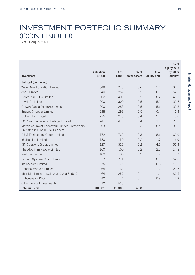### INVESTMENT PORTFOLIO SUMMARY (CONTINUED)

As at 31 August 2021

| <b>Investment</b>                                                                   | Valuation<br>£'000 | <b>Cost</b><br>£'000 | $%$ of<br>total assets | $%$ of<br>equity held | $%$ of<br>equity held<br>by other<br>clients <sup>1</sup> |
|-------------------------------------------------------------------------------------|--------------------|----------------------|------------------------|-----------------------|-----------------------------------------------------------|
| <b>Unlisted (continued)</b>                                                         |                    |                      |                        |                       |                                                           |
| WaterBear Education Limited                                                         | 348                | 245                  | 0.6                    | 5.1                   | 34.1                                                      |
| ebb3 Limited                                                                        | 340                | 252                  | 0.5                    | 6.0                   | 52.6                                                      |
| Boiler Plan (UK) Limited                                                            | 302                | 400                  | 0.5                    | 8.2                   | 48.3                                                      |
| <b>HiveHR Limited</b>                                                               | 300                | 300                  | 0.5                    | 5.2                   | 33.7                                                      |
| Growth Capital Ventures Limited                                                     | 300                | 288                  | 0.5                    | 5.6                   | 39.8                                                      |
| Snappy Shopper Limited                                                              | 298                | 298                  | 0.5                    | 0.4                   | 1.4                                                       |
| Optoscribe Limited                                                                  | 275                | 275                  | 0.4                    | 2.1                   | 8.0                                                       |
| TC Communications Holdings Limited                                                  | 241                | 413                  | 0.4                    | 3.5                   | 26.5                                                      |
| Maven Co-invest Endeavour Limited Partnership<br>(invested in Global Risk Partners) | 203                | $\mathcal{P}$        | 0.3                    | 8.4                   | 91.6                                                      |
| R&M Engineering Group Limited                                                       | 172                | 762                  | 0.3                    | 8.6                   | 62.0                                                      |
| eSales Hub Limited                                                                  | 150                | 150                  | 0.2                    | 1.7                   | 16.9                                                      |
| <b>ISN Solutions Group Limited</b>                                                  | 127                | 323                  | 0.2                    | 4.6                   | 50.4                                                      |
| The Algorithm People Limited                                                        | 100                | 100                  | 0.2                    | 2.1                   | 14.8                                                      |
| <b>RevLifter Limited</b>                                                            | 100                | 100                  | 0.2                    | 1.2                   | 16.7                                                      |
| Fathom Systems Group Limited                                                        | 77                 | 711                  | 0.1                    | 8.0                   | 52.0                                                      |
| Intilery.com Limited                                                                | 75                 | 75                   | 0.1                    | 0.8                   | 43.2                                                      |
| Honcho Markets Limited                                                              | 65                 | 64                   | 0.1                    | 1.2                   | 23.5                                                      |
| Shortbite Limited (trading as DigitalBridge)                                        | 64                 | 257                  | 0.1                    | 1.1                   | 30.5                                                      |
| LightwaveRF PLC <sup>3</sup>                                                        | 40                 | 74                   | 0.1                    | 0.9                   | 0.9                                                       |
| Other unlisted investments                                                          | 10                 | 525                  |                        |                       |                                                           |
| <b>Total unlisted</b>                                                               | 30,361             | 26,309               | 48.8                   |                       |                                                           |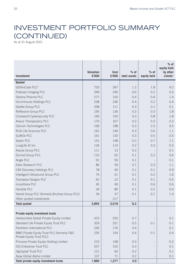### INVESTMENT PORTFOLIO SUMMARY (CONTINUED)

As at 31 August 2021

|                                                                         |                           |                      |                        |                       | $%$ of<br>equity held            |
|-------------------------------------------------------------------------|---------------------------|----------------------|------------------------|-----------------------|----------------------------------|
| <b>Investment</b>                                                       | <b>Valuation</b><br>£'000 | <b>Cost</b><br>£'000 | $%$ of<br>total assets | $%$ of<br>equity held | by other<br>clients <sup>1</sup> |
| Quoted                                                                  |                           |                      |                        |                       |                                  |
| GENinCode PLC <sup>4</sup>                                              | 753                       | 397                  | 1.2                    | 1.8                   | 9.2                              |
| Polarean Imaging PLC                                                    | 349                       | 246                  | 0.6                    | 0.2                   | 0.5                              |
| Destiny Pharma PLC                                                      | 277                       | 150                  | 0.4                    | 0.4                   | 1.4                              |
| Oncimmune Holdings PLC                                                  | 238                       | 236                  | 0.4                    | 0.2                   | 0.4                              |
| Saietta Group PLC                                                       | 208                       | 111                  | 0.3                    | 0.1                   | 0.1                              |
| ReNeuron Group PLC                                                      | 195                       | 136                  | 0.3                    | 0.3                   | 1.8                              |
| Crossword Cybersecurity PLC                                             | 190                       | 150                  | 0.3                    | 0.8                   | 1.8                              |
| Arecor Therapeutics PLC                                                 | 170                       | 167                  | 0.3                    | 0.3                   | 0.3                              |
| Osirium Technologies PLC                                                | 169                       | 198                  | 0.3                    | 2.5                   | 4.5                              |
| RUA Life Sciences PLC                                                   | 162                       | 149                  | 0.3                    | 0.6                   | 1.1                              |
| SuINOx PLC                                                              | 161                       | 130                  | 0.3                    | 0.5                   | 0.5                              |
| Seeen PLC                                                               | 131                       | 148                  | 0.2                    | 0.7                   | 1.1                              |
| LungLife AI Inc                                                         | 126                       | 114                  | 0.2                    | 0.3                   | 0.3                              |
| Avacta Group PLC                                                        | 111                       | 13                   | 0.2                    |                       | 0.1                              |
| Diurnal Group PLC                                                       | 110                       | 62                   | 0.1                    | 0.2                   | 0.6                              |
| Angle PLC                                                               | 91                        | 56                   | 0.1                    |                       | 0.1                              |
| Eden Research PLC                                                       | 86                        | 59                   | 0.1                    | 0.3                   | 1.1                              |
| C4X Discovery Holdings PLC                                              | 78                        | 40                   | 0.1                    | 0.1                   | 0.9                              |
| Intelligent Ultrasound Group PLC                                        | 74                        | 51                   | 0.1                    | 0.2                   | 1.6                              |
| Trackwise Designs PLC                                                   | 62                        | 22                   | 0.1                    | 0.1                   | 0.5                              |
| Incanthera PLC                                                          | 45                        | 49                   | 0.1                    | 0.6                   | 0.6                              |
| Hardide PLC                                                             | 34                        | 80                   | 0.1                    | 0.2                   | 0.4                              |
| Vianet Group PLC (formerly Brulines Group PLC)                          | 34                        | 37                   | 0.1                    | 0.1                   | 1.4                              |
| Other quoted investments                                                |                           | 217                  |                        |                       |                                  |
| <b>Total quoted</b>                                                     | 3,854                     | 3,018                | 6.2                    |                       |                                  |
|                                                                         |                           |                      |                        |                       |                                  |
| <b>Private equity investment trusts</b>                                 |                           |                      |                        |                       |                                  |
| HarbourVest Global Private Equity Limited                               | 410                       | 250                  | 0.7                    |                       | 0.1                              |
| Standard Life Private Equity Trust PLC                                  | 329                       | 251                  | 0.5                    | 0.1                   | 0.1                              |
| Pantheon International PLC                                              | 236                       | 176                  | 0.4                    |                       | 0.1                              |
| BMO Private Equity Trust PLC (formerly F&C<br>Private Equity Trust PLC) | 235                       | 154                  | 0.4                    | 0.1                   | 0.4                              |
| Princess Private Equity Holding Limited                                 | 215                       | 158                  | 0.3                    |                       | 0.2                              |
| ICG Enterprise Trust PLC                                                | 207                       | 153                  | 0.3                    |                       | 0.1                              |
| <b>HgCapital Trust PLC</b>                                              | 121                       | 64                   | 0.2                    |                       | 0.1                              |
| Apax Global Alpha Limited                                               | 107                       | 71                   | 0.2                    |                       | 0.1                              |
| Total private equity investment trusts                                  | 1,860                     | 1,277                | 3.0                    |                       |                                  |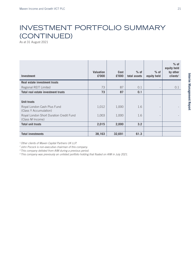### INVESTMENT PORTFOLIO SUMMARY (CONTINUED)

As at 31 August 2021

| <b>Investment</b>                                                           | <b>Valuation</b><br>£'000 | <b>Cost</b><br>£'000 | $%$ of<br>total assets | $%$ of<br>equity held    | $%$ of<br>equity held<br>by other<br>clients <sup>1</sup> |
|-----------------------------------------------------------------------------|---------------------------|----------------------|------------------------|--------------------------|-----------------------------------------------------------|
| Real estate investment trusts                                               |                           |                      |                        |                          |                                                           |
| Regional REIT Limited                                                       | 73                        | 87                   | 0.1                    | $\overline{\phantom{a}}$ | 0.1                                                       |
| <b>Total real estate investment trusts</b>                                  | 73                        | 87                   | 0.1                    |                          |                                                           |
| <b>Unit trusts</b><br>Royal London Cash Plus Fund<br>(Class Y Accumulation) | 1,012                     | 1,000                | 1.6                    |                          |                                                           |
| Royal London Short Duration Credit Fund<br>(Class M Income)                 | 1,003                     | 1,000                | 1.6                    |                          |                                                           |
| <b>Total unit trusts</b>                                                    | 2,015                     | 2,000                | 3.2                    |                          |                                                           |
|                                                                             |                           |                      |                        |                          |                                                           |
| <b>Total investments</b>                                                    | 38,163                    | 32,691               | 61.3                   |                          |                                                           |

*1 Other clients of Maven Capital Partners UK LLP.*

*2 John Pocock is non-executive chairman of this company.*

*3 This company delisted from AIM during a previous period.*

*4 This company was previously an unlisted portfolio holding that floated on AIM in July 2021.*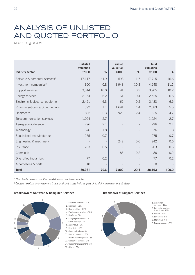### ANALYSIS OF UNLISTED AND QUOTED PORTFOLIO

As at 31 August 2021

|                                           | <b>Unlisted</b><br>valuation |                          | Quoted<br>valuation      |      | <b>Total</b><br>valuation |       |
|-------------------------------------------|------------------------------|--------------------------|--------------------------|------|---------------------------|-------|
| <b>Industry sector</b>                    | £'000                        | $\%$                     | £'000                    | $\%$ | £'000                     | %     |
| Software & computer services <sup>1</sup> | 17,117                       | 44.9                     | 598                      | 1.7  | 17,715                    | 46.6  |
| Investment companies <sup>2</sup>         | 300                          | 0.8                      | 3,948                    | 10.3 | 4,248                     | 11.1  |
| Support services <sup>1</sup>             | 3,814                        | 10.0                     | 91                       | 0.2  | 3,905                     | 10.2  |
| Energy services                           | 2,364                        | 6.2                      | 161                      | 0.4  | 2,525                     | 6.6   |
| Electronic & electrical equipment         | 2,421                        | 6.3                      | 62                       | 0.2  | 2,483                     | 6.5   |
| Pharmaceuticals & biotechnology           | 392                          | 1.1                      | 1,691                    | 4.4  | 2,083                     | 5.5   |
| Healthcare                                | 892                          | 2.3                      | 923                      | 2.4  | 1,815                     | 4.7   |
| Telecommunication services                | 1,024                        | 2.7                      | $\overline{\phantom{0}}$ |      | 1,024                     | 2.7   |
| Aerospace & defence                       | 796                          | 2.1                      |                          |      | 796                       | 2.1   |
| Technology                                | 676                          | 1.8                      | $\overline{a}$           |      | 676                       | 1.8   |
| Specialised manufacturing                 | 275                          | 0.7                      |                          |      | 275                       | 0.7   |
| Engineering & machinery                   |                              | $\overline{\phantom{a}}$ | 242                      | 0.6  | 242                       | 0.6   |
| Insurance                                 | 203                          | 0.5                      |                          |      | 203                       | 0.5   |
| Chemicals                                 |                              |                          | 86                       | 0.2  | 86                        | 0.2   |
| Diversified industrials                   | 77                           | 0.2                      | $\overline{\phantom{0}}$ |      | 77                        | 0.2   |
| Automobiles & parts                       | 10                           | $\qquad \qquad -$        | $\overline{\phantom{a}}$ |      | 10                        |       |
| <b>Total</b>                              | 30,361                       | 79.6                     | 7,802                    | 20.4 | 38,163                    | 100.0 |

*1 The charts below show the breakdown by end-user market.*

*2 Quoted holdings in investment trusts and unit trusts held as part of liquidity management strategy.*







- 1. Consumer services 41%
- 
- 2. Industrial products & services 30%
- 3. Leisure 11%
- 4. Education 9%
- 5. Marketing 6% 6. Energy services - 3%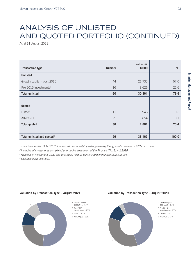### ANALYSIS OF UNLISTED AND QUOTED PORTFOLIO (CONTINUED)

As at 31 August 2021

| <b>Transaction type</b>                 | <b>Number</b> | <b>Valuation</b><br>£'000 | $\%$  |
|-----------------------------------------|---------------|---------------------------|-------|
| <b>Unlisted</b>                         |               |                           |       |
| Growth capital - post 2015 <sup>1</sup> | 44            | 21,735                    | 57.0  |
| Pre 2015 investments <sup>2</sup>       | 16            | 8,626                     | 22.6  |
| <b>Total unlisted</b>                   | 60            | 30,361                    | 79.6  |
|                                         |               |                           |       |
| <b>Quoted</b>                           |               |                           |       |
| Listed <sup>3</sup>                     | 11            | 3,948                     | 10.3  |
| AIM/AQSE                                | 25            | 3,854                     | 10.1  |
| <b>Total quoted</b>                     | 36            | 7,802                     | 20.4  |
|                                         |               |                           |       |
| Total unlisted and quoted <sup>4</sup>  | 96            | 38,163                    | 100.0 |

<sup>1</sup> The Finance (No. 2) Act 2015 introduced new qualifying rules governing the types of investments VCTs can make. new qualifying rule.

<sup>2</sup> Includes all investments completed prior to the enactment of the Finance (No. 2) Act 2015.

<sup>3</sup> Holdings in investment trusts and unit trusts held as part of liquidity management strategy. dings in investment trusts and unit trusts held as part of liqi

*4 Excludes cash balances.*

#### Valuation by Transaction Type - August 2021



#### August 2020 **Valuation by Transaction Type – August 2021 Valuation by Transaction Type – August 2020**

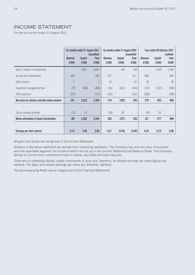#### INCOME STATEMENT

For the six months ended 31 August 2021

|                                                   |                         | Six months ended 31 August 2021 | (unaudited)           |                  | Six months ended 31 August 2020 | (unaudited)              |                  | Year ended 28 February 2021 | (audited)      |
|---------------------------------------------------|-------------------------|---------------------------------|-----------------------|------------------|---------------------------------|--------------------------|------------------|-----------------------------|----------------|
|                                                   | <b>Revenue</b><br>£'000 | Capital<br>£'000                | <b>Total</b><br>£'000 | Revenue<br>£'000 | Capital<br>£'000                | <b>Total</b><br>£'000    | Revenue<br>£'000 | Capital<br>£'000            | Total<br>£'000 |
| Gains / (losses) on investments                   |                         | 3,641                           | 3,641                 |                  | (43)                            | (43)                     |                  | 1,249                       | 1,249          |
| Income from investments                           | 449                     | $\overline{a}$                  | 449                   | 517              | $\overline{a}$                  | 517                      | 804              | $\overline{\phantom{a}}$    | 804            |
| Other income                                      | $\overline{2}$          |                                 | $\overline{2}$        | 16               | $\overline{a}$                  | 16                       | 18               |                             | 18             |
| Investment management fees                        | (97)                    | (388)                           | (485)                 | (81)             | (322)                           | (403)                    | (157)            | (627)                       | (784)          |
| Other expenses                                    | (153)                   | $\overline{a}$                  | (153)                 | (142)            | $\overline{\phantom{a}}$        | (142)                    | (389)            | $\overline{\phantom{a}}$    | (389)          |
| Net return on ordinary activities before taxation | 201                     | 3,253                           | 3,454                 | 310              | (365)                           | (55)                     | 276              | 622                         | 898            |
|                                                   |                         |                                 |                       |                  |                                 |                          |                  |                             |                |
| Tax on ordinary activities                        | (12)                    | 12                              |                       | (28)             | 28                              | $\overline{\phantom{a}}$ | (55)             | 55                          |                |
| <b>Return attributable to Equity Shareholders</b> | 189                     | 3,265                           | 3,454                 | 282              | (337)                           | (55)                     | 221              | 677                         | 898            |
|                                                   |                         |                                 |                       |                  |                                 |                          |                  |                             |                |
| Earnings per share (pence)                        | 0.14                    | 2.46                            | 2.60                  | 0.31             | (0.36)                          | (0.05)                   | 0.24             | 0.74                        | 0.98           |

All gains and losses are recognised in the Income Statement.

All items in the above statement are derived from continuing operations. The Company has only one class of business and one reportable segment, the results of which are set out in the Income Statement and Balance Sheet. The Company derives its income from investments made in shares, securities and bank deposits.

There are no potentially dilutive capital instruments in issue and, therefore, no diluted earnings per share figures are relevant. The basic and diluted earnings per share are, therefore, identical.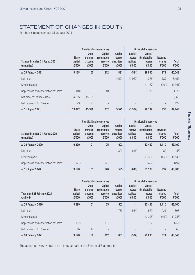### STATEMENT OF CHANGES IN EQUITY

For the six months ended 31 August 2021

| Six months ended 31 August 2021<br>(unaudited) | <b>Share</b><br>capital<br>£'000 | <b>Share</b><br>premium<br>account<br>£'000 | Non-distributable reserves<br>Capital<br>redemption<br>reserve<br>£'000 | Capital<br>reserve<br>unrealised<br>£'000 | Capital<br>reserve<br>realised<br>£'000 | Distributable reserves<br><b>Special</b><br>distributable<br>reserve<br>£'000 | <b>Revenue</b><br>reserve<br>£'000 | <b>Total</b><br>£'000 |
|------------------------------------------------|----------------------------------|---------------------------------------------|-------------------------------------------------------------------------|-------------------------------------------|-----------------------------------------|-------------------------------------------------------------------------------|------------------------------------|-----------------------|
| At 28 February 2021                            | 9,128                            | 150                                         | 212                                                                     | 881                                       | (534)                                   | 29,835                                                                        | 871                                | 40,543                |
| Net return                                     |                                  |                                             |                                                                         | 4,691                                     | (1,050)                                 | (376)                                                                         | 189                                | 3,454                 |
| Dividends paid                                 |                                  |                                             |                                                                         |                                           |                                         | (1, 157)                                                                      | (204)                              | (1, 361)              |
| Repurchase and cancellation of shares          | (40)                             |                                             | 40                                                                      | $\overline{\phantom{0}}$                  |                                         | (170)                                                                         | $\overline{\phantom{a}}$           | (170)                 |
| Net proceeds of share issue                    | 4.505                            | 15,155                                      |                                                                         | $\overline{\phantom{0}}$                  |                                         |                                                                               | $\overline{\phantom{a}}$           | 19,660                |
| Net proceeds of DIS issue                      | 29                               | 93                                          |                                                                         | $\overline{\phantom{a}}$                  |                                         |                                                                               |                                    | 122                   |
| At 31 August 2021                              | 13,622                           | 15,398                                      | 252                                                                     | 5,572                                     | (1,584)                                 | 28.132                                                                        | 856                                | 62,248                |

|                                                | Non-distributable reserves       |                                             |                                                  | Distributable reserves                    |                                         |                                                     |                                    |                       |
|------------------------------------------------|----------------------------------|---------------------------------------------|--------------------------------------------------|-------------------------------------------|-----------------------------------------|-----------------------------------------------------|------------------------------------|-----------------------|
| Six months ended 31 August 2020<br>(unaudited) | <b>Share</b><br>capital<br>£'000 | <b>Share</b><br>premium<br>account<br>£'000 | <b>Capital</b><br>redemption<br>reserve<br>£'000 | Capital<br>reserve<br>unrealised<br>£'000 | Capital<br>reserve<br>realised<br>£'000 | <b>Special</b><br>distributable<br>reserve<br>£'000 | <b>Revenue</b><br>reserve<br>£'000 | <b>Total</b><br>£'000 |
| At 29 February 2020                            | 9.299                            | 101                                         | 25                                               | (902)                                     |                                         | 33,467                                              | 1.110                              | 43,100                |
| Net return                                     |                                  |                                             |                                                  | 309                                       | (646)                                   |                                                     | 282                                | (55)                  |
| Dividends paid                                 |                                  |                                             |                                                  |                                           |                                         | (1,380)                                             | (460)                              | (1,840)               |
| Repurchase and cancellation of shares          | (121)                            |                                             | 121                                              | $\overline{\phantom{a}}$                  |                                         | (497)                                               | $\overline{\phantom{a}}$           | (497)                 |
| At 31 August 2020                              | 9,178                            | 101                                         | 146                                              | (593)                                     | (646)                                   | 31,590                                              | 932                                | 40,708                |

|                                          | Non-distributable reserves       |                                             |                                           | Distributable reserves                    |                                         |                                                     |                                    |                       |
|------------------------------------------|----------------------------------|---------------------------------------------|-------------------------------------------|-------------------------------------------|-----------------------------------------|-----------------------------------------------------|------------------------------------|-----------------------|
| Year ended 28 February 2021<br>(audited) | <b>Share</b><br>capital<br>£'000 | <b>Share</b><br>premium<br>account<br>£'000 | Capital<br>redemption<br>reserve<br>£'000 | Capital<br>reserve<br>unrealised<br>£'000 | Capital<br>reserve<br>realised<br>£'000 | <b>Special</b><br>distributable<br>reserve<br>£'000 | <b>Revenue</b><br>reserve<br>£'000 | <b>Total</b><br>£'000 |
| At 29 February 2020                      | 9,299                            | 101                                         | 25                                        | (902)                                     |                                         | 33,467                                              | 1,110                              | 43,100                |
| Net return                               |                                  |                                             |                                           | 1,783                                     | (534)                                   | (572)                                               | 221                                | 898                   |
| Dividends paid                           |                                  |                                             |                                           |                                           |                                         | (2, 298)                                            | (460)                              | (2,758)               |
| Repurchase and cancellation of shares    | (187)                            |                                             | 187                                       | $\overline{\phantom{a}}$                  |                                         | (762)                                               | $\overline{\phantom{a}}$           | (762)                 |
| Net proceeds of DIS issue                | 16                               | 49                                          |                                           | $\overline{\phantom{a}}$                  |                                         |                                                     |                                    | 65                    |
| At 28 February 2021                      | 9.128                            | 150                                         | 212                                       | 881                                       | (534)                                   | 29,835                                              | 871                                | 40,543                |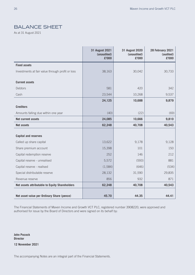### BALANCE SHEET

As at 31 August 2021

|                                                  | 31 August 2021<br>(unaudited)<br>£'000 | 31 August 2020<br>(unaudited)<br>£'000 | 28 February 2021<br>(audited)<br>£'000 |
|--------------------------------------------------|----------------------------------------|----------------------------------------|----------------------------------------|
| <b>Fixed assets</b>                              |                                        |                                        |                                        |
| Investments at fair value through profit or loss | 38,163                                 | 30,042                                 | 30,733                                 |
| <b>Current assets</b>                            |                                        |                                        |                                        |
| Debtors                                          | 581                                    | 420                                    | 342                                    |
| Cash                                             | 23,544                                 | 10,268                                 | 9,537                                  |
|                                                  | 24,125                                 | 10,688                                 | 9,879                                  |
| <b>Creditors</b>                                 |                                        |                                        |                                        |
| Amounts falling due within one year              | (40)                                   | (22)                                   | (69)                                   |
| <b>Net current assets</b>                        | 24,085                                 | 10,666                                 | 9,810                                  |
| <b>Net assets</b>                                | 62,248                                 | 40,708                                 | 40,543                                 |
| <b>Capital and reserves</b>                      |                                        |                                        |                                        |
|                                                  |                                        |                                        |                                        |
| Called up share capital                          | 13,622                                 | 9,178                                  | 9,128                                  |
| Share premium account                            | 15,398                                 | 101                                    | 150                                    |
| Capital redemption reserve                       | 252                                    | 146                                    | 212                                    |
| Capital reserve - unrealised                     | 5,572                                  | (593)                                  | 881                                    |
| Capital reserve - realised                       | (1,584)                                | (646)                                  | (534)                                  |
| Special distributable reserve                    | 28,132                                 | 31,590                                 | 29,835                                 |
| Revenue reserve                                  | 856                                    | 932                                    | 871                                    |
| Net assets attributable to Equity Shareholders   | 62,248                                 | 40,708                                 | 40,543                                 |
|                                                  |                                        |                                        |                                        |
| Net asset value per Ordinary Share (pence)       | 45.70                                  | 44.35                                  | 44.41                                  |

The Financial Statements of Maven Income and Growth VCT PLC, registered number 3908220, were approved and authorised for issue by the Board of Directors and were signed on its behalf by:

**John Pocock Director 12 November 2021**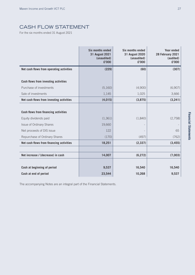### CASH FLOW STATEMENT

For the six months ended 31 August 2021

|                                             | <b>Six months ended</b><br>31 August 2021<br>(unaudited)<br>£'000 | Six months ended<br>31 August 2020<br>(unaudited)<br>£'000 | <b>Year ended</b><br>28 February 2021<br>(audited)<br>£'000 |
|---------------------------------------------|-------------------------------------------------------------------|------------------------------------------------------------|-------------------------------------------------------------|
| Net cash flows from operating activities    | (229)                                                             | (60)                                                       | (307)                                                       |
|                                             |                                                                   |                                                            |                                                             |
| <b>Cash flows from investing activities</b> |                                                                   |                                                            |                                                             |
| Purchase of investments                     | (5,160)                                                           | (4,900)                                                    | (6,907)                                                     |
| Sale of investments                         | 1,145                                                             | 1,025                                                      | 3,666                                                       |
| Net cash flows from investing activities    | (4,015)                                                           | (3,875)                                                    | (3,241)                                                     |
|                                             |                                                                   |                                                            |                                                             |
| <b>Cash flows from financing activities</b> |                                                                   |                                                            |                                                             |
| Equity dividends paid                       | (1, 361)                                                          | (1,840)                                                    | (2,758)                                                     |
| <b>Issue of Ordinary Shares</b>             | 19,660                                                            |                                                            |                                                             |
| Net proceeds of DIS issue                   | 122                                                               |                                                            | 65                                                          |
| Repurchase of Ordinary Shares               | (170)                                                             | (497)                                                      | (762)                                                       |
| Net cash flows from financing activities    | 18,251                                                            | (2, 337)                                                   | (3, 455)                                                    |
|                                             |                                                                   |                                                            |                                                             |
| Net increase / (decrease) in cash           | 14,007                                                            | (6, 272)                                                   | (7,003)                                                     |
|                                             |                                                                   |                                                            |                                                             |
| Cash at beginning of period                 | 9,537                                                             | 16,540                                                     | 16,540                                                      |
| Cash at end of period                       | 23,544                                                            | 10,268                                                     | 9,537                                                       |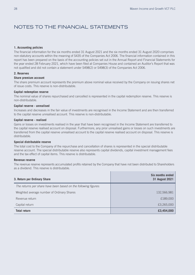#### NOTES TO THE FINANCIAL STATEMENTS

#### **1. Accounting policies**

The financial information for the six months ended 31 August 2021 and the six months ended 31 August 2020 comprises non-statutory accounts within the meaning of S435 of the Companies Act 2006. The financial information contained in this report has been prepared on the basis of the accounting policies set out in the Annual Report and Financial Statements for the year ended 28 February 2021, which have been filed at Companies House and contained an Auditor's Report that was not qualified and did not contain a statement under S498(2) or S498(3) of the Companies Act 2006.

#### **2. Reserves**

#### **Share premium account**

The share premium account represents the premium above nominal value received by the Company on issuing shares net of issue costs. This reserve is non-distributable.

#### **Capital redemption reserve**

The nominal value of shares repurchased and cancelled is represented in the capital redemption reserve. This reserve is non-distributable.

#### **Capital reserve - unrealised**

Increases and decreases in the fair value of investments are recognised in the Income Statement and are then transferred to the capital reserve unrealised account. This reserve is non-distributable.

#### **Capital reserve - realised**

Gains or losses on investments realised in the year that have been recognised in the Income Statement are transferred to the capital reserve realised account on disposal. Furthermore, any prior unrealised gains or losses on such investments are transferred from the capital reserve unrealised account to the capital reserve realised account on disposal. This reserve is distributable.

#### **Special distributable reserve**

The total cost to the Company of the repurchase and cancellation of shares is represented in the special distributable reserve account. The special distributable reserve also represents capital dividends, capital investment management fees and the tax effect of capital items. This reserve is distributable.

#### **Revenue reserve**

The revenue reserve represents accumulated profits retained by the Company that have not been distributed to Shareholders as a dividend. This reserve is distributable.

| 3. Return per Ordinary Share                                    | Six months ended<br>31 August 2021 |
|-----------------------------------------------------------------|------------------------------------|
| The returns per share have been based on the following figures: |                                    |
| Weighted average number of Ordinary Shares                      | 132,566,981                        |
| Revenue return                                                  | £189,000                           |
| Capital return                                                  | £3,265,000                         |
| <b>Total return</b>                                             | £3,454,000                         |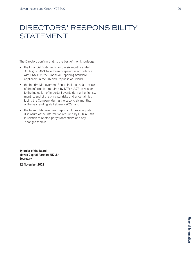### DIRECTORS' RESPONSIBILITY **STATEMENT**

The Directors confirm that, to the best of their knowledge:

- the Financial Statements for the six months ended 31 August 2021 have been prepared in accordance with FRS 102, the Financial Reporting Standard applicable in the UK and Republic of Ireland;
- the Interim Management Report includes a fair review of the information required by DTR 4.2.7R in relation to the indication of important events during the first six months, and of the principal risks and uncertainties facing the Company during the second six months, of the year ending 28 February 2022; and
- the Interim Management Report includes adequate disclosure of the information required by DTR 4.2.8R in relation to related party transactions and any changes therein.

**By order of the Board Maven Capital Partners UK LLP Secretary**

**12 November 2021**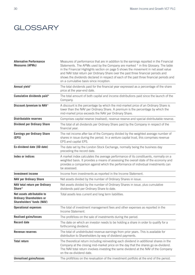### **GLOSSARY**

| <b>Alternative Performance</b><br><b>Measures (APMs)</b>                                          | Measures of performance that are in addition to the earnings reported in the Financial<br>Statements. The APMs used by the Company are marked * in this Glossary. The table<br>in the Financial Highlights section on page 5 shows the movement in net asset value<br>and NAV total return per Ordinary Share over the past three financial periods and<br>shows the dividends declared in respect of each of the past three financial periods and<br>on a cumulative basis since inception. |
|---------------------------------------------------------------------------------------------------|----------------------------------------------------------------------------------------------------------------------------------------------------------------------------------------------------------------------------------------------------------------------------------------------------------------------------------------------------------------------------------------------------------------------------------------------------------------------------------------------|
| Annual yield*                                                                                     | The total dividends paid for the financial year expressed as a percentage of the share<br>price at the year-end date.                                                                                                                                                                                                                                                                                                                                                                        |
| Cumulative dividends paid*                                                                        | The total amount of both capital and income distributions paid since the launch of the<br>Company.                                                                                                                                                                                                                                                                                                                                                                                           |
| Discount /premium to NAV*                                                                         | A discount is the percentage by which the mid-market price of an Ordinary Share is<br>lower than the NAV per Ordinary Share. A premium is the percentage by which the<br>mid-market price exceeds the NAV per Ordinary Share.                                                                                                                                                                                                                                                                |
| <b>Distributable reserves</b>                                                                     | Comprises capital reserve (realised), revenue reserve and special distributable reserve.                                                                                                                                                                                                                                                                                                                                                                                                     |
| <b>Dividend per Ordinary Share</b>                                                                | The total of all dividends per Ordinary Share paid by the Company in respect of the<br>financial year.                                                                                                                                                                                                                                                                                                                                                                                       |
| <b>Earnings per Ordinary Share</b><br>(EPS)                                                       | The net income after tax of the Company divided by the weighted average number of<br>shares in issue during the period. In a venture capital trust, this comprises revenue<br>EPS and capital EPS.                                                                                                                                                                                                                                                                                           |
| Ex-dividend date (XD date)                                                                        | The date set by the London Stock Exchange, normally being the business day<br>preceding the record date.                                                                                                                                                                                                                                                                                                                                                                                     |
| <b>Index or indices</b>                                                                           | A market index calculates the average performance of its constituents, normally on a<br>weighted basis. It provides a means of assessing the overall state of the economy and<br>provides a comparison against which the performance of individual investments can<br>be assessed.                                                                                                                                                                                                           |
| <b>Investment income</b>                                                                          | Income from investments as reported in the Income Statement.                                                                                                                                                                                                                                                                                                                                                                                                                                 |
| <b>NAV per Ordinary Share</b>                                                                     | Net assets divided by the number of Ordinary Shares in issue.                                                                                                                                                                                                                                                                                                                                                                                                                                |
| NAV total return per Ordinary<br>Share*                                                           | Net assets divided by the number of Ordinary Shares in issue, plus cumulative<br>dividends paid per Ordinary Share to date.                                                                                                                                                                                                                                                                                                                                                                  |
| Net assets attributable to<br><b>Ordinary Shareholders or</b><br><b>Shareholders' funds (NAV)</b> | Total assets less current and long term liabilities.                                                                                                                                                                                                                                                                                                                                                                                                                                         |
| <b>Operational expenses</b>                                                                       | The total of investment management fees and other expenses as reported in the<br>Income Statement.                                                                                                                                                                                                                                                                                                                                                                                           |
| <b>Realised gains/losses</b>                                                                      | The profit/loss on the sale of investments during the period.                                                                                                                                                                                                                                                                                                                                                                                                                                |
| <b>Record date</b>                                                                                | The date on which an investor needs to be holding a share in order to qualify for a<br>forthcoming dividend.                                                                                                                                                                                                                                                                                                                                                                                 |
| <b>Revenue reserves</b>                                                                           | The total of undistributed revenue earnings from prior years. This is available for<br>distribution to Shareholders by way of dividend payments.                                                                                                                                                                                                                                                                                                                                             |
| <b>Total return</b>                                                                               | The theoretical return including reinvesting each dividend in additional shares in the<br>Company at the closing mid-market price on the day that the shares go ex-dividend.<br>The NAV total return involves investing the same dividend at the NAV of the Company                                                                                                                                                                                                                          |
|                                                                                                   | on the ex-dividend date.                                                                                                                                                                                                                                                                                                                                                                                                                                                                     |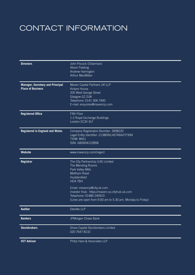## CONTACT INFORMATION

| <b>Directors</b>                        | John Pocock (Chairman)                                     |
|-----------------------------------------|------------------------------------------------------------|
|                                         | <b>Alison Fielding</b>                                     |
|                                         | Andrew Harrington                                          |
|                                         | Arthur MacMillan                                           |
|                                         |                                                            |
| <b>Manager, Secretary and Principal</b> | Maven Capital Partners UK LLP                              |
| <b>Place of Business</b>                | Kintyre House                                              |
|                                         | 205 West George Street                                     |
|                                         | Glasgow G2 2LW                                             |
|                                         | Telephone: 0141 306 7400                                   |
|                                         |                                                            |
|                                         | E-mail: enquiries@mavencp.com                              |
| <b>Registered Office</b>                | Fifth Floor                                                |
|                                         | 1-2 Royal Exchange Buildings                               |
|                                         | London EC3V 3LF                                            |
|                                         |                                                            |
| <b>Registered in England and Wales</b>  | Company Registration Number: 3908220                       |
|                                         | Legal Entity Identifier: 213800VL4S7K6A2YTX94              |
|                                         | TIDM: MIG1                                                 |
|                                         | ISIN: GB0004122858                                         |
|                                         |                                                            |
| <b>Website</b>                          | www.mavencp.com/migvct                                     |
|                                         |                                                            |
| <b>Registrar</b>                        | The City Partnership (UK) Limited                          |
|                                         | The Mending Rooms                                          |
|                                         | Park Valley Mills                                          |
|                                         | Meltham Road                                               |
|                                         | Huddersfield                                               |
|                                         | HD47BH                                                     |
|                                         | Email: mavencp@city.uk.com                                 |
|                                         | Investor Hub: https://maven-cp.cityhub.uk.com              |
|                                         | Telephone: 01484 240910                                    |
|                                         |                                                            |
|                                         | (Lines are open from 9.00 am to 5.30 pm, Monday to Friday) |
| <b>Auditor</b>                          | Deloitte LLP                                               |
|                                         |                                                            |
| <b>Bankers</b>                          | JPMorgan Chase Bank                                        |
| <b>Stockbrokers</b>                     | Shore Capital Stockbrokers Limited                         |
|                                         | 020 7647 8132                                              |
|                                         |                                                            |
| <b>VCT Adviser</b>                      | Philip Hare & Associates LLP                               |